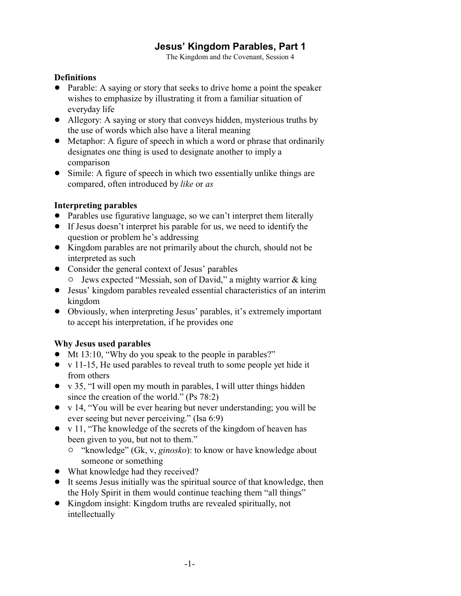# **Jesus' Kingdom Parables, Part 1**

The Kingdom and the Covenant, Session 4

## **Definitions**

- Parable: A saying or story that seeks to drive home a point the speaker wishes to emphasize by illustrating it from a familiar situation of everyday life
- Allegory: A saying or story that conveys hidden, mysterious truths by the use of words which also have a literal meaning
- Metaphor: A figure of speech in which a word or phrase that ordinarily designates one thing is used to designate another to imply a comparison
- Simile: A figure of speech in which two essentially unlike things are compared, often introduced by *like* or *as*

# **Interpreting parables**

- Parables use figurative language, so we can't interpret them literally
- ! If Jesus doesn't interpret his parable for us, we need to identify the question or problem he's addressing
- ! Kingdom parables are not primarily about the church, should not be interpreted as such
- Consider the general context of Jesus' parables
	- <sup>o</sup> Jews expected "Messiah, son of David," a mighty warrior & king
- ! Jesus' kingdom parables revealed essential characteristics of an interim kingdom
- ! Obviously, when interpreting Jesus' parables, it's extremely important to accept his interpretation, if he provides one

# **Why Jesus used parables**

- ! Mt 13:10, "Why do you speak to the people in parables?"
- $\bullet$  v 11-15, He used parables to reveal truth to some people yet hide it from others
- $\bullet$  v 35, "I will open my mouth in parables, I will utter things hidden since the creation of the world." (Ps 78:2)
- $\bullet$  v 14, "You will be ever hearing but never understanding; you will be ever seeing but never perceiving." (Isa 6:9)
- $\bullet$  v 11, "The knowledge of the secrets of the kingdom of heaven has been given to you, but not to them."
	- <sup>o</sup> "knowledge" (Gk, v, *ginosko*): to know or have knowledge about someone or something
- What knowledge had they received?
- It seems Jesus initially was the spiritual source of that knowledge, then the Holy Spirit in them would continue teaching them "all things"
- ! Kingdom insight: Kingdom truths are revealed spiritually, not intellectually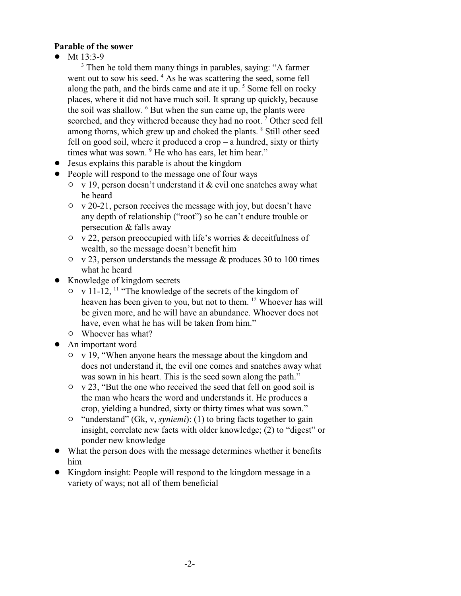#### **Parable of the sower**

• Mt  $13:3-9$ 

<sup>3</sup> Then he told them many things in parables, saying: "A farmer went out to sow his seed. <sup>4</sup> As he was scattering the seed, some fell along the path, and the birds came and ate it up. <sup>5</sup> Some fell on rocky places, where it did not have much soil. It sprang up quickly, because the soil was shallow. <sup>6</sup> But when the sun came up, the plants were scorched, and they withered because they had no root.<sup>7</sup> Other seed fell among thorns, which grew up and choked the plants. <sup>8</sup> Still other seed fell on good soil, where it produced a crop  $-$  a hundred, sixty or thirty times what was sown. <sup>9</sup> He who has ears, let him hear."

- Jesus explains this parable is about the kingdom
- People will respond to the message one of four ways
	- $\circ$  v 19, person doesn't understand it & evil one snatches away what he heard
	- $\circ$  v 20-21, person receives the message with joy, but doesn't have any depth of relationship ("root") so he can't endure trouble or persecution & falls away
	- $\circ$  v 22, person preoccupied with life's worries & deceitfulness of wealth, so the message doesn't benefit him
	- $\circ$  v 23, person understands the message & produces 30 to 100 times what he heard
- Knowledge of kingdom secrets
	- $\circ$  v 11-12, <sup>11</sup> "The knowledge of the secrets of the kingdom of heaven has been given to you, but not to them. <sup>12</sup> Whoever has will be given more, and he will have an abundance. Whoever does not have, even what he has will be taken from him."
	- $\circ$  Whoever has what?
- An important word
	- $\circ$  v 19, "When anyone hears the message about the kingdom and does not understand it, the evil one comes and snatches away what was sown in his heart. This is the seed sown along the path."
	- $\circ$  v 23, "But the one who received the seed that fell on good soil is the man who hears the word and understands it. He produces a crop, yielding a hundred, sixty or thirty times what was sown."
	- <sup>o</sup> "understand" (Gk, v, *syniemi*): (1) to bring facts together to gain insight, correlate new facts with older knowledge; (2) to "digest" or ponder new knowledge
- What the person does with the message determines whether it benefits him
- Kingdom insight: People will respond to the kingdom message in a variety of ways; not all of them beneficial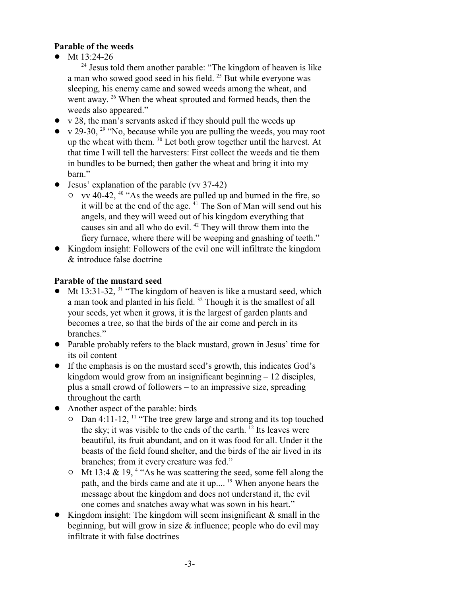### **Parable of the weeds**

Mt 13:24-26

<sup>24</sup> Jesus told them another parable: "The kingdom of heaven is like a man who sowed good seed in his field. <sup>25</sup> But while everyone was sleeping, his enemy came and sowed weeds among the wheat, and went away.<sup>26</sup> When the wheat sprouted and formed heads, then the weeds also appeared."

- $\bullet$  v 28, the man's servants asked if they should pull the weeds up
- v 29-30,  $^{29}$  "No, because while you are pulling the weeds, you may root up the wheat with them. <sup>30</sup> Let both grow together until the harvest. At that time I will tell the harvesters: First collect the weeds and tie them in bundles to be burned; then gather the wheat and bring it into my barn."
- $\bullet$  Jesus' explanation of the parable (vv 37-42)
	- $\circ$  vv 40-42, <sup>40</sup> "As the weeds are pulled up and burned in the fire, so it will be at the end of the age. <sup>41</sup> The Son of Man will send out his angels, and they will weed out of his kingdom everything that causes sin and all who do evil.<sup>42</sup> They will throw them into the fiery furnace, where there will be weeping and gnashing of teeth."
- ! Kingdom insight: Followers of the evil one will infiltrate the kingdom & introduce false doctrine

# **Parable of the mustard seed**

- $\bullet$  Mt 13:31-32, <sup>31</sup> "The kingdom of heaven is like a mustard seed, which a man took and planted in his field. <sup>32</sup> Though it is the smallest of all your seeds, yet when it grows, it is the largest of garden plants and becomes a tree, so that the birds of the air come and perch in its branches."
- ! Parable probably refers to the black mustard, grown in Jesus' time for its oil content
- ! If the emphasis is on the mustard seed's growth, this indicates God's kingdom would grow from an insignificant beginning – 12 disciples, plus a small crowd of followers – to an impressive size, spreading throughout the earth
- Another aspect of the parable: birds
	- $\circ$  Dan 4:11-12, <sup>11</sup> "The tree grew large and strong and its top touched the sky; it was visible to the ends of the earth.  $12$  Its leaves were beautiful, its fruit abundant, and on it was food for all. Under it the beasts of the field found shelter, and the birds of the air lived in its branches; from it every creature was fed."
	- $\circ$  Mt 13:4 & 19,<sup>4</sup> "As he was scattering the seed, some fell along the path, and the birds came and ate it up.... <sup>19</sup> When anyone hears the message about the kingdom and does not understand it, the evil one comes and snatches away what was sown in his heart."
- Kingdom insight: The kingdom will seem insignificant  $\&$  small in the beginning, but will grow in size  $\&$  influence; people who do evil may infiltrate it with false doctrines